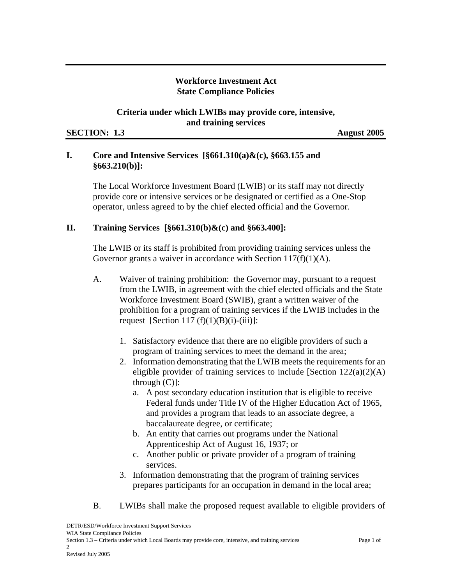### **Workforce Investment Act State Compliance Policies**

### **Criteria under which LWIBs may provide core, intensive, and training services**

#### **SECTION:** 1.3 **August 2005**

# **I. Core and Intensive Services [§661.310(a)&(c)***,* **§663.155 and §663.210(b)]:**

The Local Workforce Investment Board (LWIB) or its staff may not directly provide core or intensive services or be designated or certified as a One-Stop operator, unless agreed to by the chief elected official and the Governor.

# **II. Training Services [§661.310(b)&(c) and §663.400]:**

The LWIB or its staff is prohibited from providing training services unless the Governor grants a waiver in accordance with Section  $117(f)(1)(A)$ .

- A. Waiver of training prohibition: the Governor may, pursuant to a request from the LWIB, in agreement with the chief elected officials and the State Workforce Investment Board (SWIB), grant a written waiver of the prohibition for a program of training services if the LWIB includes in the request [Section 117  $(f)(1)(B)(i)-(iii)$ ]:
	- 1. Satisfactory evidence that there are no eligible providers of such a program of training services to meet the demand in the area;
	- 2. Information demonstrating that the LWIB meets the requirements for an eligible provider of training services to include [Section  $122(a)(2)(A)$ ] through (C)]:
		- a. A post secondary education institution that is eligible to receive Federal funds under Title IV of the Higher Education Act of 1965, and provides a program that leads to an associate degree, a baccalaureate degree, or certificate;
		- b. An entity that carries out programs under the National Apprenticeship Act of August 16, 1937; or
		- c. Another public or private provider of a program of training services.
	- 3. Information demonstrating that the program of training services prepares participants for an occupation in demand in the local area;
- B. LWIBs shall make the proposed request available to eligible providers of